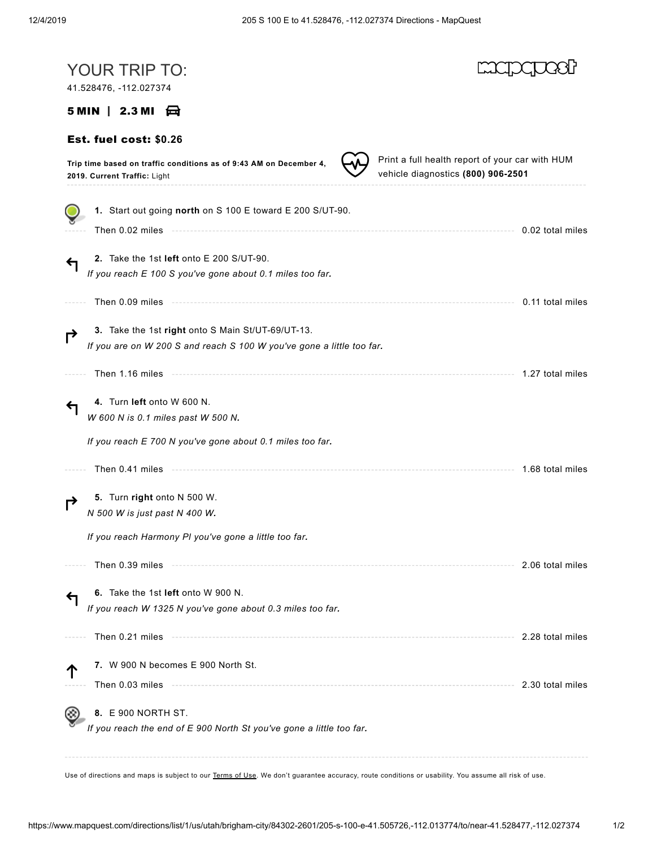| YOUR TRIP TO:<br>41.528476, -112.027374                                                                                                                                                                                              |                                                                                       |
|--------------------------------------------------------------------------------------------------------------------------------------------------------------------------------------------------------------------------------------|---------------------------------------------------------------------------------------|
| $5$ MIN $\parallel$ 2.3 MI $\bigoplus$                                                                                                                                                                                               |                                                                                       |
| Est. fuel cost: \$0.26                                                                                                                                                                                                               |                                                                                       |
| Trip time based on traffic conditions as of 9:43 AM on December 4,<br>2019. Current Traffic: Light                                                                                                                                   | Print a full health report of your car with HUM<br>vehicle diagnostics (800) 906-2501 |
| 1. Start out going north on S 100 E toward E 200 S/UT-90.                                                                                                                                                                            |                                                                                       |
|                                                                                                                                                                                                                                      | 0.02 total miles                                                                      |
| 2. Take the 1st left onto E 200 S/UT-90.<br>If you reach E 100 S you've gone about 0.1 miles too far.                                                                                                                                |                                                                                       |
| Then 0.09 miles <b>contract to the contract of the contract of the contract of the matter of the contract of the contract of the contract of the contract of the contract of the contract of the contract of the contract of the</b> | 0.11 total miles                                                                      |
| 3. Take the 1st right onto S Main St/UT-69/UT-13.<br>If you are on W 200 S and reach S 100 W you've gone a little too far.                                                                                                           |                                                                                       |
| Then 1.16 miles                                                                                                                                                                                                                      | 1.27 total miles                                                                      |
| 4. Turn left onto W 600 N.<br>W 600 N is 0.1 miles past W 500 N.                                                                                                                                                                     |                                                                                       |
| If you reach E 700 N you've gone about 0.1 miles too far.                                                                                                                                                                            |                                                                                       |
| Then 0.41 miles                                                                                                                                                                                                                      | 1.68 total miles                                                                      |
| 5. Turn right onto N 500 W.<br>N 500 W is just past N 400 W.                                                                                                                                                                         |                                                                                       |
| If you reach Harmony PI you've gone a little too far.                                                                                                                                                                                |                                                                                       |
| Then 0.39 miles                                                                                                                                                                                                                      | 2.06 total miles                                                                      |
| 6. Take the 1st left onto W 900 N.<br>If you reach W 1325 N you've gone about 0.3 miles too far.                                                                                                                                     |                                                                                       |
|                                                                                                                                                                                                                                      | 2.28 total miles                                                                      |
| 7. W 900 N becomes E 900 North St.                                                                                                                                                                                                   |                                                                                       |
|                                                                                                                                                                                                                                      | 2.30 total miles                                                                      |
| 8. E 900 NORTH ST.<br>If you reach the end of E 900 North St you've gone a little too far.                                                                                                                                           |                                                                                       |